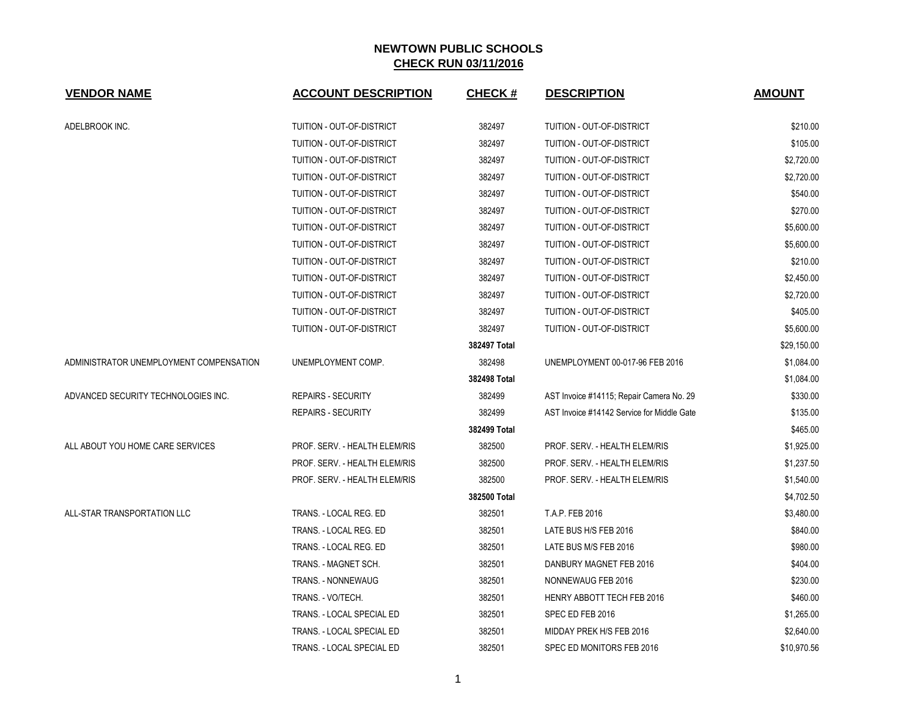| <b>VENDOR NAME</b>                      | <b>ACCOUNT DESCRIPTION</b>    | <b>CHECK#</b> | <b>DESCRIPTION</b>                         | <b>AMOUNT</b> |
|-----------------------------------------|-------------------------------|---------------|--------------------------------------------|---------------|
| ADELBROOK INC.                          | TUITION - OUT-OF-DISTRICT     | 382497        | <b>TUITION - OUT-OF-DISTRICT</b>           | \$210.00      |
|                                         | TUITION - OUT-OF-DISTRICT     | 382497        | TUITION - OUT-OF-DISTRICT                  | \$105.00      |
|                                         | TUITION - OUT-OF-DISTRICT     | 382497        | TUITION - OUT-OF-DISTRICT                  | \$2,720.00    |
|                                         | TUITION - OUT-OF-DISTRICT     | 382497        | TUITION - OUT-OF-DISTRICT                  | \$2,720.00    |
|                                         | TUITION - OUT-OF-DISTRICT     | 382497        | TUITION - OUT-OF-DISTRICT                  | \$540.00      |
|                                         | TUITION - OUT-OF-DISTRICT     | 382497        | TUITION - OUT-OF-DISTRICT                  | \$270.00      |
|                                         | TUITION - OUT-OF-DISTRICT     | 382497        | TUITION - OUT-OF-DISTRICT                  | \$5,600.00    |
|                                         | TUITION - OUT-OF-DISTRICT     | 382497        | TUITION - OUT-OF-DISTRICT                  | \$5,600.00    |
|                                         | TUITION - OUT-OF-DISTRICT     | 382497        | TUITION - OUT-OF-DISTRICT                  | \$210.00      |
|                                         | TUITION - OUT-OF-DISTRICT     | 382497        | TUITION - OUT-OF-DISTRICT                  | \$2,450.00    |
|                                         | TUITION - OUT-OF-DISTRICT     | 382497        | <b>TUITION - OUT-OF-DISTRICT</b>           | \$2,720.00    |
|                                         | TUITION - OUT-OF-DISTRICT     | 382497        | TUITION - OUT-OF-DISTRICT                  | \$405.00      |
|                                         | TUITION - OUT-OF-DISTRICT     | 382497        | TUITION - OUT-OF-DISTRICT                  | \$5,600.00    |
|                                         |                               | 382497 Total  |                                            | \$29,150.00   |
| ADMINISTRATOR UNEMPLOYMENT COMPENSATION | UNEMPLOYMENT COMP.            | 382498        | UNEMPLOYMENT 00-017-96 FEB 2016            | \$1,084.00    |
|                                         |                               | 382498 Total  |                                            | \$1,084.00    |
| ADVANCED SECURITY TECHNOLOGIES INC.     | <b>REPAIRS - SECURITY</b>     | 382499        | AST Invoice #14115; Repair Camera No. 29   | \$330.00      |
|                                         | <b>REPAIRS - SECURITY</b>     | 382499        | AST Invoice #14142 Service for Middle Gate | \$135.00      |
|                                         |                               | 382499 Total  |                                            | \$465.00      |
| ALL ABOUT YOU HOME CARE SERVICES        | PROF. SERV. - HEALTH ELEM/RIS | 382500        | PROF. SERV. - HEALTH ELEM/RIS              | \$1,925.00    |
|                                         | PROF. SERV. - HEALTH ELEM/RIS | 382500        | PROF. SERV. - HEALTH ELEM/RIS              | \$1,237.50    |
|                                         | PROF. SERV. - HEALTH ELEM/RIS | 382500        | PROF. SERV. - HEALTH ELEM/RIS              | \$1,540.00    |
|                                         |                               | 382500 Total  |                                            | \$4,702.50    |
| ALL-STAR TRANSPORTATION LLC             | TRANS. - LOCAL REG. ED        | 382501        | T.A.P. FEB 2016                            | \$3,480.00    |
|                                         | TRANS. - LOCAL REG. ED        | 382501        | LATE BUS H/S FEB 2016                      | \$840.00      |
|                                         | TRANS. - LOCAL REG. ED        | 382501        | LATE BUS M/S FEB 2016                      | \$980.00      |
|                                         | TRANS. - MAGNET SCH.          | 382501        | DANBURY MAGNET FEB 2016                    | \$404.00      |
|                                         | TRANS. - NONNEWAUG            | 382501        | NONNEWAUG FEB 2016                         | \$230.00      |
|                                         | TRANS. - VO/TECH.             | 382501        | <b>HENRY ABBOTT TECH FEB 2016</b>          | \$460.00      |
|                                         | TRANS. - LOCAL SPECIAL ED     | 382501        | SPEC ED FEB 2016                           | \$1,265.00    |
|                                         | TRANS. - LOCAL SPECIAL ED     | 382501        | MIDDAY PREK H/S FEB 2016                   | \$2,640.00    |
|                                         | TRANS. - LOCAL SPECIAL ED     | 382501        | SPEC ED MONITORS FEB 2016                  | \$10,970.56   |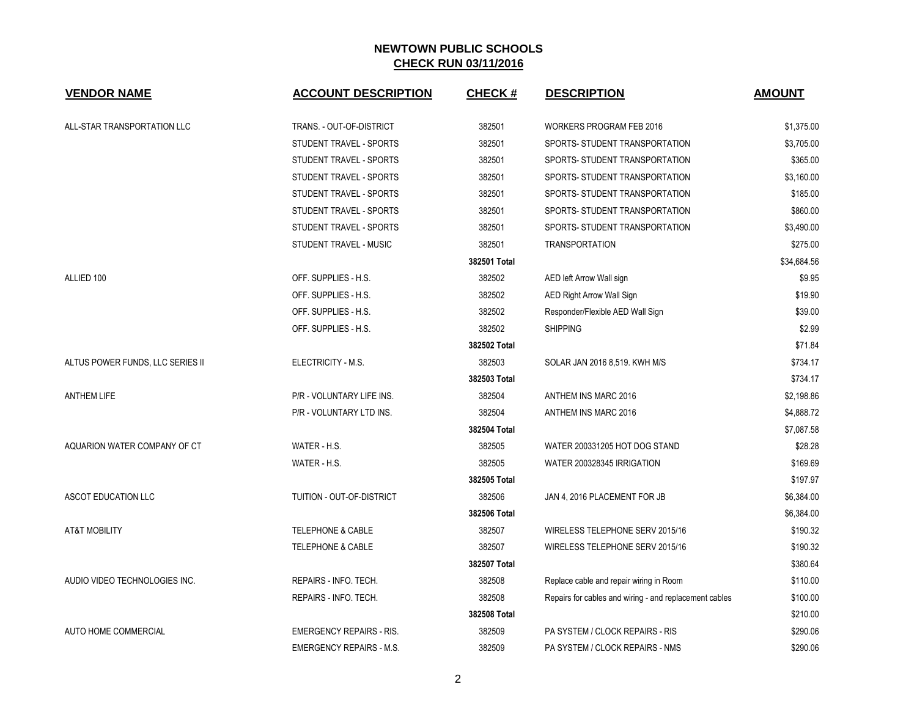| <b>VENDOR NAME</b>               | <b>ACCOUNT DESCRIPTION</b>      | <b>CHECK#</b> | <b>DESCRIPTION</b>                                     | <b>AMOUNT</b> |
|----------------------------------|---------------------------------|---------------|--------------------------------------------------------|---------------|
| ALL-STAR TRANSPORTATION LLC      | TRANS. - OUT-OF-DISTRICT        | 382501        | <b>WORKERS PROGRAM FEB 2016</b>                        | \$1,375.00    |
|                                  | STUDENT TRAVEL - SPORTS         | 382501        | SPORTS- STUDENT TRANSPORTATION                         | \$3,705.00    |
|                                  | STUDENT TRAVEL - SPORTS         | 382501        | SPORTS- STUDENT TRANSPORTATION                         | \$365.00      |
|                                  | STUDENT TRAVEL - SPORTS         | 382501        | SPORTS- STUDENT TRANSPORTATION                         | \$3,160.00    |
|                                  | STUDENT TRAVEL - SPORTS         | 382501        | SPORTS- STUDENT TRANSPORTATION                         | \$185.00      |
|                                  | STUDENT TRAVEL - SPORTS         | 382501        | SPORTS- STUDENT TRANSPORTATION                         | \$860.00      |
|                                  | STUDENT TRAVEL - SPORTS         | 382501        | SPORTS- STUDENT TRANSPORTATION                         | \$3,490.00    |
|                                  | STUDENT TRAVEL - MUSIC          | 382501        | <b>TRANSPORTATION</b>                                  | \$275.00      |
|                                  |                                 | 382501 Total  |                                                        | \$34,684.56   |
| ALLIED 100                       | OFF. SUPPLIES - H.S.            | 382502        | AED left Arrow Wall sign                               | \$9.95        |
|                                  | OFF. SUPPLIES - H.S.            | 382502        | <b>AED Right Arrow Wall Sign</b>                       | \$19.90       |
|                                  | OFF. SUPPLIES - H.S.            | 382502        | Responder/Flexible AED Wall Sign                       | \$39.00       |
|                                  | OFF. SUPPLIES - H.S.            | 382502        | <b>SHIPPING</b>                                        | \$2.99        |
|                                  |                                 | 382502 Total  |                                                        | \$71.84       |
| ALTUS POWER FUNDS, LLC SERIES II | ELECTRICITY - M.S.              | 382503        | SOLAR JAN 2016 8,519. KWH M/S                          | \$734.17      |
|                                  |                                 | 382503 Total  |                                                        | \$734.17      |
| <b>ANTHEM LIFE</b>               | P/R - VOLUNTARY LIFE INS.       | 382504        | ANTHEM INS MARC 2016                                   | \$2,198.86    |
|                                  | P/R - VOLUNTARY LTD INS.        | 382504        | ANTHEM INS MARC 2016                                   | \$4,888.72    |
|                                  |                                 | 382504 Total  |                                                        | \$7,087.58    |
| AQUARION WATER COMPANY OF CT     | WATER - H.S.                    | 382505        | WATER 200331205 HOT DOG STAND                          | \$28.28       |
|                                  | WATER - H.S.                    | 382505        | WATER 200328345 IRRIGATION                             | \$169.69      |
|                                  |                                 | 382505 Total  |                                                        | \$197.97      |
| ASCOT EDUCATION LLC              | TUITION - OUT-OF-DISTRICT       | 382506        | JAN 4, 2016 PLACEMENT FOR JB                           | \$6,384.00    |
|                                  |                                 | 382506 Total  |                                                        | \$6,384.00    |
| <b>AT&amp;T MOBILITY</b>         | <b>TELEPHONE &amp; CABLE</b>    | 382507        | WIRELESS TELEPHONE SERV 2015/16                        | \$190.32      |
|                                  | <b>TELEPHONE &amp; CABLE</b>    | 382507        | WIRELESS TELEPHONE SERV 2015/16                        | \$190.32      |
|                                  |                                 | 382507 Total  |                                                        | \$380.64      |
| AUDIO VIDEO TECHNOLOGIES INC.    | REPAIRS - INFO. TECH.           | 382508        | Replace cable and repair wiring in Room                | \$110.00      |
|                                  | REPAIRS - INFO. TECH.           | 382508        | Repairs for cables and wiring - and replacement cables | \$100.00      |
|                                  |                                 | 382508 Total  |                                                        | \$210.00      |
| AUTO HOME COMMERCIAL             | <b>EMERGENCY REPAIRS - RIS.</b> | 382509        | PA SYSTEM / CLOCK REPAIRS - RIS                        | \$290.06      |
|                                  | <b>EMERGENCY REPAIRS - M.S.</b> | 382509        | PA SYSTEM / CLOCK REPAIRS - NMS                        | \$290.06      |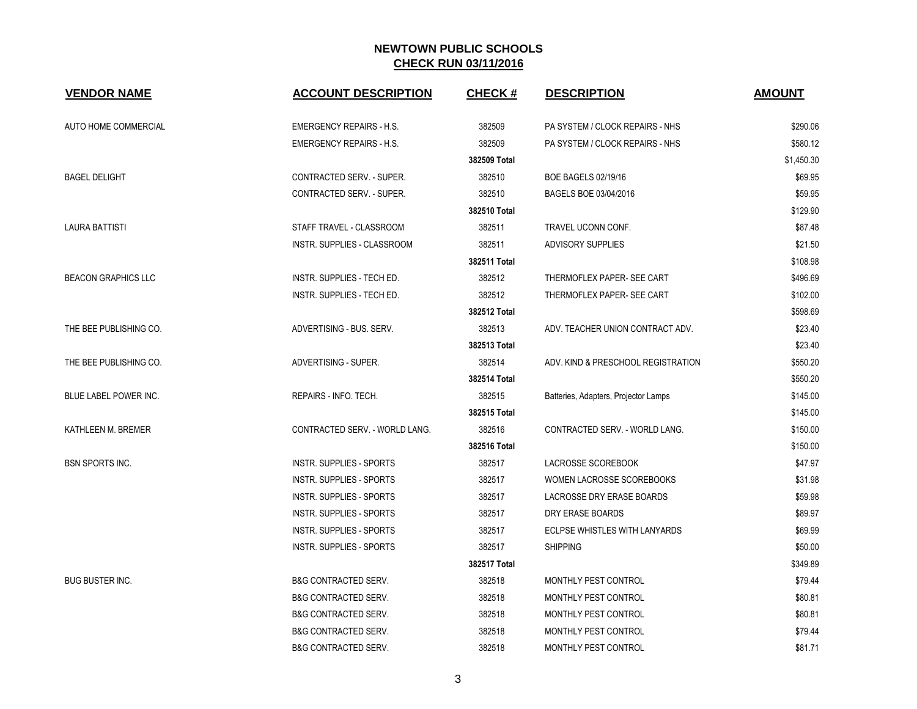| <b>VENDOR NAME</b>         | <b>ACCOUNT DESCRIPTION</b>      | <b>CHECK#</b> | <b>DESCRIPTION</b>                   | <b>AMOUNT</b> |
|----------------------------|---------------------------------|---------------|--------------------------------------|---------------|
| AUTO HOME COMMERCIAL       | <b>EMERGENCY REPAIRS - H.S.</b> | 382509        | PA SYSTEM / CLOCK REPAIRS - NHS      | \$290.06      |
|                            | <b>EMERGENCY REPAIRS - H.S.</b> | 382509        | PA SYSTEM / CLOCK REPAIRS - NHS      | \$580.12      |
|                            |                                 | 382509 Total  |                                      | \$1,450.30    |
| <b>BAGEL DELIGHT</b>       | CONTRACTED SERV. - SUPER.       | 382510        | <b>BOE BAGELS 02/19/16</b>           | \$69.95       |
|                            | CONTRACTED SERV. - SUPER.       | 382510        | BAGELS BOE 03/04/2016                | \$59.95       |
|                            |                                 | 382510 Total  |                                      | \$129.90      |
| <b>LAURA BATTISTI</b>      | STAFF TRAVEL - CLASSROOM        | 382511        | TRAVEL UCONN CONF.                   | \$87.48       |
|                            | INSTR. SUPPLIES - CLASSROOM     | 382511        | ADVISORY SUPPLIES                    | \$21.50       |
|                            |                                 | 382511 Total  |                                      | \$108.98      |
| <b>BEACON GRAPHICS LLC</b> | INSTR. SUPPLIES - TECH ED.      | 382512        | THERMOFLEX PAPER- SEE CART           | \$496.69      |
|                            | INSTR. SUPPLIES - TECH ED.      | 382512        | THERMOFLEX PAPER- SEE CART           | \$102.00      |
|                            |                                 | 382512 Total  |                                      | \$598.69      |
| THE BEE PUBLISHING CO.     | ADVERTISING - BUS. SERV.        | 382513        | ADV. TEACHER UNION CONTRACT ADV.     | \$23.40       |
|                            |                                 | 382513 Total  |                                      | \$23.40       |
| THE BEE PUBLISHING CO.     | ADVERTISING - SUPER.            | 382514        | ADV. KIND & PRESCHOOL REGISTRATION   | \$550.20      |
|                            |                                 | 382514 Total  |                                      | \$550.20      |
| BLUE LABEL POWER INC.      | REPAIRS - INFO. TECH.           | 382515        | Batteries, Adapters, Projector Lamps | \$145.00      |
|                            |                                 | 382515 Total  |                                      | \$145.00      |
| KATHLEEN M. BREMER         | CONTRACTED SERV. - WORLD LANG.  | 382516        | CONTRACTED SERV. - WORLD LANG.       | \$150.00      |
|                            |                                 | 382516 Total  |                                      | \$150.00      |
| <b>BSN SPORTS INC.</b>     | <b>INSTR. SUPPLIES - SPORTS</b> | 382517        | <b>LACROSSE SCOREBOOK</b>            | \$47.97       |
|                            | <b>INSTR. SUPPLIES - SPORTS</b> | 382517        | WOMEN LACROSSE SCOREBOOKS            | \$31.98       |
|                            | <b>INSTR. SUPPLIES - SPORTS</b> | 382517        | LACROSSE DRY ERASE BOARDS            | \$59.98       |
|                            | <b>INSTR. SUPPLIES - SPORTS</b> | 382517        | DRY ERASE BOARDS                     | \$89.97       |
|                            | <b>INSTR. SUPPLIES - SPORTS</b> | 382517        | ECLPSE WHISTLES WITH LANYARDS        | \$69.99       |
|                            | <b>INSTR. SUPPLIES - SPORTS</b> | 382517        | <b>SHIPPING</b>                      | \$50.00       |
|                            |                                 | 382517 Total  |                                      | \$349.89      |
| <b>BUG BUSTER INC.</b>     | <b>B&amp;G CONTRACTED SERV.</b> | 382518        | MONTHLY PEST CONTROL                 | \$79.44       |
|                            | <b>B&amp;G CONTRACTED SERV.</b> | 382518        | MONTHLY PEST CONTROL                 | \$80.81       |
|                            | <b>B&amp;G CONTRACTED SERV.</b> | 382518        | MONTHLY PEST CONTROL                 | \$80.81       |
|                            | <b>B&amp;G CONTRACTED SERV.</b> | 382518        | MONTHLY PEST CONTROL                 | \$79.44       |
|                            | <b>B&amp;G CONTRACTED SERV.</b> | 382518        | MONTHLY PEST CONTROL                 | \$81.71       |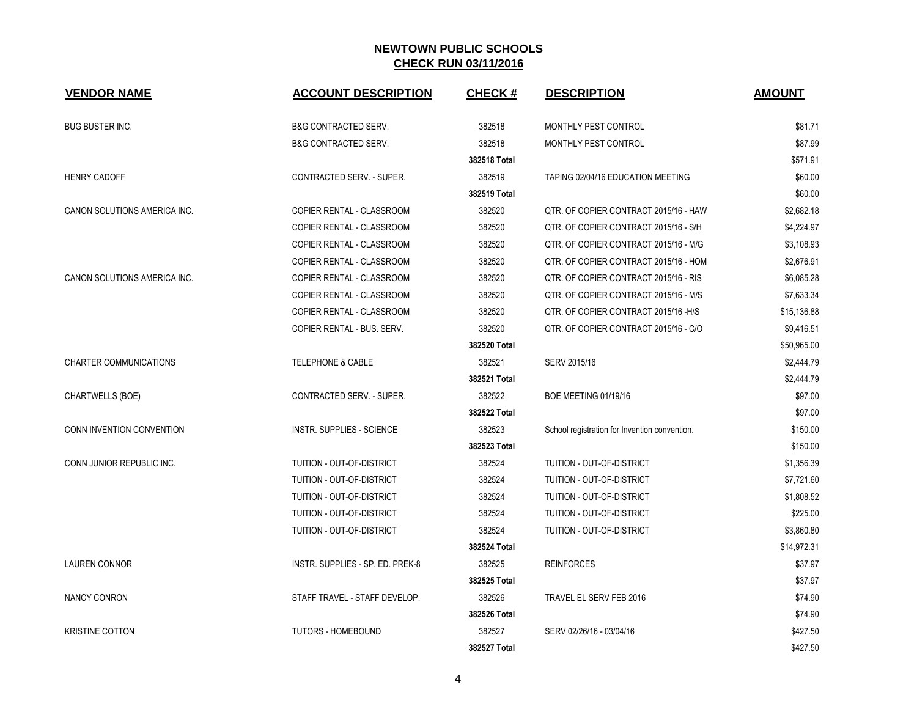| <b>VENDOR NAME</b>            | <b>ACCOUNT DESCRIPTION</b>       | <b>CHECK#</b> | <b>DESCRIPTION</b>                            | <b>AMOUNT</b> |
|-------------------------------|----------------------------------|---------------|-----------------------------------------------|---------------|
| <b>BUG BUSTER INC.</b>        | <b>B&amp;G CONTRACTED SERV.</b>  | 382518        | MONTHLY PEST CONTROL                          | \$81.71       |
|                               | <b>B&amp;G CONTRACTED SERV.</b>  | 382518        | MONTHLY PEST CONTROL                          | \$87.99       |
|                               |                                  | 382518 Total  |                                               | \$571.91      |
| <b>HENRY CADOFF</b>           | CONTRACTED SERV. - SUPER.        | 382519        | TAPING 02/04/16 EDUCATION MEETING             | \$60.00       |
|                               |                                  | 382519 Total  |                                               | \$60.00       |
| CANON SOLUTIONS AMERICA INC.  | COPIER RENTAL - CLASSROOM        | 382520        | QTR. OF COPIER CONTRACT 2015/16 - HAW         | \$2,682.18    |
|                               | <b>COPIER RENTAL - CLASSROOM</b> | 382520        | QTR. OF COPIER CONTRACT 2015/16 - S/H         | \$4,224.97    |
|                               | COPIER RENTAL - CLASSROOM        | 382520        | QTR. OF COPIER CONTRACT 2015/16 - M/G         | \$3,108.93    |
|                               | COPIER RENTAL - CLASSROOM        | 382520        | QTR. OF COPIER CONTRACT 2015/16 - HOM         | \$2,676.91    |
| CANON SOLUTIONS AMERICA INC.  | COPIER RENTAL - CLASSROOM        | 382520        | QTR. OF COPIER CONTRACT 2015/16 - RIS         | \$6,085.28    |
|                               | <b>COPIER RENTAL - CLASSROOM</b> | 382520        | QTR. OF COPIER CONTRACT 2015/16 - M/S         | \$7,633.34    |
|                               | COPIER RENTAL - CLASSROOM        | 382520        | QTR. OF COPIER CONTRACT 2015/16 - H/S         | \$15,136.88   |
|                               | COPIER RENTAL - BUS. SERV.       | 382520        | QTR. OF COPIER CONTRACT 2015/16 - C/O         | \$9,416.51    |
|                               |                                  | 382520 Total  |                                               | \$50,965.00   |
| <b>CHARTER COMMUNICATIONS</b> | TELEPHONE & CABLE                | 382521        | SERV 2015/16                                  | \$2,444.79    |
|                               |                                  | 382521 Total  |                                               | \$2,444.79    |
| CHARTWELLS (BOE)              | CONTRACTED SERV. - SUPER.        | 382522        | <b>BOE MEETING 01/19/16</b>                   | \$97.00       |
|                               |                                  | 382522 Total  |                                               | \$97.00       |
| CONN INVENTION CONVENTION     | INSTR. SUPPLIES - SCIENCE        | 382523        | School registration for Invention convention. | \$150.00      |
|                               |                                  | 382523 Total  |                                               | \$150.00      |
| CONN JUNIOR REPUBLIC INC.     | TUITION - OUT-OF-DISTRICT        | 382524        | <b>TUITION - OUT-OF-DISTRICT</b>              | \$1,356.39    |
|                               | TUITION - OUT-OF-DISTRICT        | 382524        | TUITION - OUT-OF-DISTRICT                     | \$7,721.60    |
|                               | TUITION - OUT-OF-DISTRICT        | 382524        | TUITION - OUT-OF-DISTRICT                     | \$1,808.52    |
|                               | TUITION - OUT-OF-DISTRICT        | 382524        | TUITION - OUT-OF-DISTRICT                     | \$225.00      |
|                               | TUITION - OUT-OF-DISTRICT        | 382524        | TUITION - OUT-OF-DISTRICT                     | \$3,860.80    |
|                               |                                  | 382524 Total  |                                               | \$14,972.31   |
| <b>LAUREN CONNOR</b>          | INSTR. SUPPLIES - SP. ED. PREK-8 | 382525        | <b>REINFORCES</b>                             | \$37.97       |
|                               |                                  | 382525 Total  |                                               | \$37.97       |
| <b>NANCY CONRON</b>           | STAFF TRAVEL - STAFF DEVELOP.    | 382526        | TRAVEL EL SERV FEB 2016                       | \$74.90       |
|                               |                                  | 382526 Total  |                                               | \$74.90       |
| <b>KRISTINE COTTON</b>        | TUTORS - HOMEBOUND               | 382527        | SERV 02/26/16 - 03/04/16                      | \$427.50      |
|                               |                                  | 382527 Total  |                                               | \$427.50      |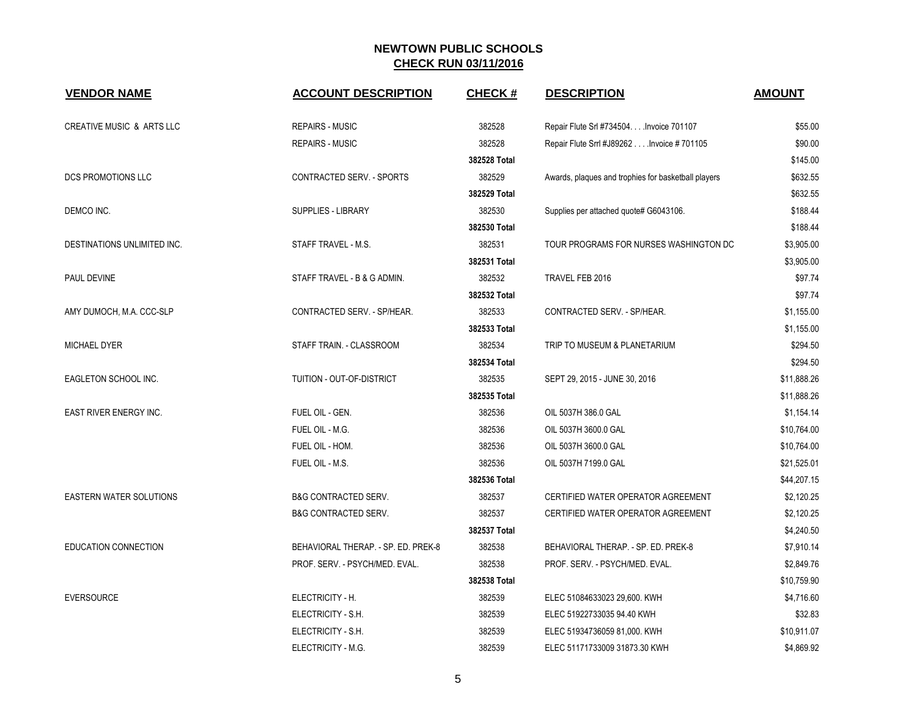| <b>VENDOR NAME</b>                   | <b>ACCOUNT DESCRIPTION</b>          | <b>CHECK#</b> | <b>DESCRIPTION</b>                                  | <b>AMOUNT</b> |
|--------------------------------------|-------------------------------------|---------------|-----------------------------------------------------|---------------|
| <b>CREATIVE MUSIC &amp; ARTS LLC</b> | <b>REPAIRS - MUSIC</b>              | 382528        | Repair Flute Srl #734504. Invoice 701107            | \$55.00       |
|                                      | <b>REPAIRS - MUSIC</b>              | 382528        | Repair Flute Srrl #J89262 Invoice #701105           | \$90.00       |
|                                      |                                     | 382528 Total  |                                                     | \$145.00      |
| <b>DCS PROMOTIONS LLC</b>            | CONTRACTED SERV. - SPORTS           | 382529        | Awards, plaques and trophies for basketball players | \$632.55      |
|                                      |                                     | 382529 Total  |                                                     | \$632.55      |
| DEMCO INC.                           | SUPPLIES - LIBRARY                  | 382530        | Supplies per attached quote# G6043106.              | \$188.44      |
|                                      |                                     | 382530 Total  |                                                     | \$188.44      |
| DESTINATIONS UNLIMITED INC.          | STAFF TRAVEL - M.S.                 | 382531        | TOUR PROGRAMS FOR NURSES WASHINGTON DC              | \$3,905.00    |
|                                      |                                     | 382531 Total  |                                                     | \$3,905.00    |
| PAUL DEVINE                          | STAFF TRAVEL - B & G ADMIN.         | 382532        | TRAVEL FEB 2016                                     | \$97.74       |
|                                      |                                     | 382532 Total  |                                                     | \$97.74       |
| AMY DUMOCH, M.A. CCC-SLP             | CONTRACTED SERV. - SP/HEAR.         | 382533        | CONTRACTED SERV. - SP/HEAR.                         | \$1,155.00    |
|                                      |                                     | 382533 Total  |                                                     | \$1,155.00    |
| <b>MICHAEL DYER</b>                  | STAFF TRAIN. - CLASSROOM            | 382534        | TRIP TO MUSEUM & PLANETARIUM                        | \$294.50      |
|                                      |                                     | 382534 Total  |                                                     | \$294.50      |
| EAGLETON SCHOOL INC.                 | TUITION - OUT-OF-DISTRICT           | 382535        | SEPT 29, 2015 - JUNE 30, 2016                       | \$11,888.26   |
|                                      |                                     | 382535 Total  |                                                     | \$11,888.26   |
| EAST RIVER ENERGY INC.               | FUEL OIL - GEN.                     | 382536        | OIL 5037H 386.0 GAL                                 | \$1,154.14    |
|                                      | FUEL OIL - M.G.                     | 382536        | OIL 5037H 3600.0 GAL                                | \$10,764.00   |
|                                      | FUEL OIL - HOM.                     | 382536        | OIL 5037H 3600.0 GAL                                | \$10,764.00   |
|                                      | FUEL OIL - M.S.                     | 382536        | OIL 5037H 7199.0 GAL                                | \$21,525.01   |
|                                      |                                     | 382536 Total  |                                                     | \$44,207.15   |
| <b>EASTERN WATER SOLUTIONS</b>       | <b>B&amp;G CONTRACTED SERV.</b>     | 382537        | CERTIFIED WATER OPERATOR AGREEMENT                  | \$2,120.25    |
|                                      | <b>B&amp;G CONTRACTED SERV.</b>     | 382537        | CERTIFIED WATER OPERATOR AGREEMENT                  | \$2,120.25    |
|                                      |                                     | 382537 Total  |                                                     | \$4,240.50    |
| <b>EDUCATION CONNECTION</b>          | BEHAVIORAL THERAP. - SP. ED. PREK-8 | 382538        | BEHAVIORAL THERAP. - SP. ED. PREK-8                 | \$7,910.14    |
|                                      | PROF. SERV. - PSYCH/MED. EVAL.      | 382538        | PROF. SERV. - PSYCH/MED. EVAL.                      | \$2,849.76    |
|                                      |                                     | 382538 Total  |                                                     | \$10,759.90   |
| <b>EVERSOURCE</b>                    | ELECTRICITY - H.                    | 382539        | ELEC 51084633023 29,600. KWH                        | \$4,716.60    |
|                                      | ELECTRICITY - S.H.                  | 382539        | ELEC 51922733035 94.40 KWH                          | \$32.83       |
|                                      | ELECTRICITY - S.H.                  | 382539        | ELEC 51934736059 81,000. KWH                        | \$10,911.07   |
|                                      | ELECTRICITY - M.G.                  | 382539        | ELEC 51171733009 31873.30 KWH                       | \$4,869.92    |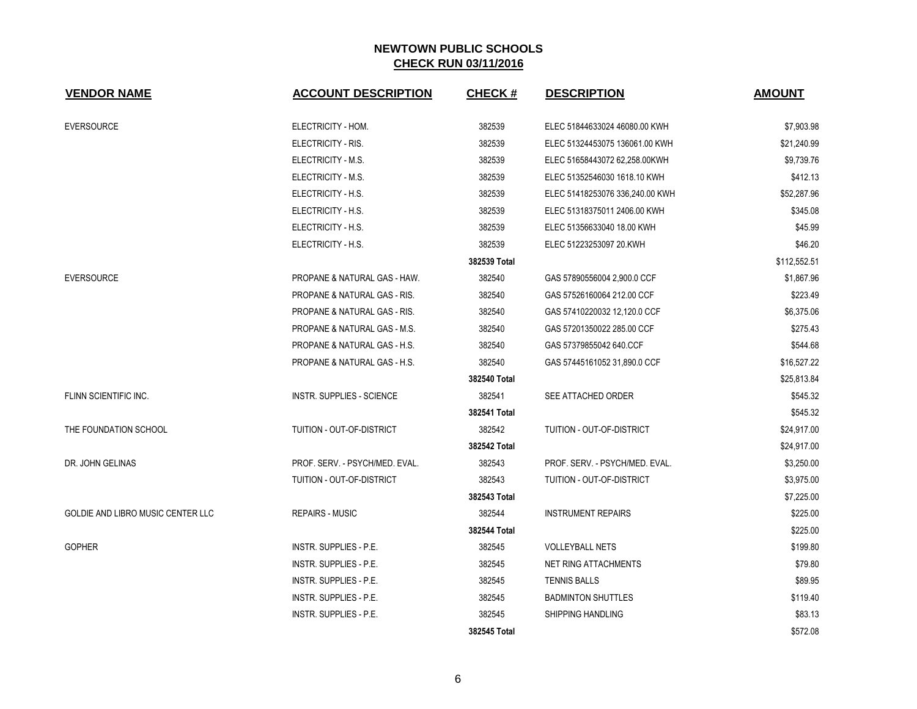| <b>VENDOR NAME</b>                | <b>ACCOUNT DESCRIPTION</b>              | <b>CHECK#</b> | <b>DESCRIPTION</b>               | <b>AMOUNT</b> |
|-----------------------------------|-----------------------------------------|---------------|----------------------------------|---------------|
| <b>EVERSOURCE</b>                 | ELECTRICITY - HOM.                      | 382539        | ELEC 51844633024 46080.00 KWH    | \$7,903.98    |
|                                   | ELECTRICITY - RIS.                      | 382539        | ELEC 51324453075 136061.00 KWH   | \$21,240.99   |
|                                   | ELECTRICITY - M.S.                      | 382539        | ELEC 51658443072 62,258.00KWH    | \$9,739.76    |
|                                   | ELECTRICITY - M.S.                      | 382539        | ELEC 51352546030 1618.10 KWH     | \$412.13      |
|                                   | ELECTRICITY - H.S.                      | 382539        | ELEC 51418253076 336,240.00 KWH  | \$52,287.96   |
|                                   | ELECTRICITY - H.S.                      | 382539        | ELEC 51318375011 2406.00 KWH     | \$345.08      |
|                                   | ELECTRICITY - H.S.                      | 382539        | ELEC 51356633040 18.00 KWH       | \$45.99       |
|                                   | ELECTRICITY - H.S.                      | 382539        | ELEC 51223253097 20.KWH          | \$46.20       |
|                                   |                                         | 382539 Total  |                                  | \$112,552.51  |
| <b>EVERSOURCE</b>                 | PROPANE & NATURAL GAS - HAW.            | 382540        | GAS 57890556004 2,900.0 CCF      | \$1,867.96    |
|                                   | PROPANE & NATURAL GAS - RIS.            | 382540        | GAS 57526160064 212.00 CCF       | \$223.49      |
|                                   | <b>PROPANE &amp; NATURAL GAS - RIS.</b> | 382540        | GAS 57410220032 12,120.0 CCF     | \$6,375.06    |
|                                   | <b>PROPANE &amp; NATURAL GAS - M.S.</b> | 382540        | GAS 57201350022 285.00 CCF       | \$275.43      |
|                                   | PROPANE & NATURAL GAS - H.S.            | 382540        | GAS 57379855042 640 CCF          | \$544.68      |
|                                   | PROPANE & NATURAL GAS - H.S.            | 382540        | GAS 57445161052 31,890.0 CCF     | \$16,527.22   |
|                                   |                                         | 382540 Total  |                                  | \$25,813.84   |
| FLINN SCIENTIFIC INC.             | <b>INSTR. SUPPLIES - SCIENCE</b>        | 382541        | SEE ATTACHED ORDER               | \$545.32      |
|                                   |                                         | 382541 Total  |                                  | \$545.32      |
| THE FOUNDATION SCHOOL             | TUITION - OUT-OF-DISTRICT               | 382542        | <b>TUITION - OUT-OF-DISTRICT</b> | \$24,917.00   |
|                                   |                                         | 382542 Total  |                                  | \$24,917.00   |
| DR. JOHN GELINAS                  | PROF. SERV. - PSYCH/MED. EVAL.          | 382543        | PROF. SERV. - PSYCH/MED. EVAL.   | \$3,250.00    |
|                                   | TUITION - OUT-OF-DISTRICT               | 382543        | <b>TUITION - OUT-OF-DISTRICT</b> | \$3,975.00    |
|                                   |                                         | 382543 Total  |                                  | \$7,225.00    |
| GOLDIE AND LIBRO MUSIC CENTER LLC | <b>REPAIRS - MUSIC</b>                  | 382544        | <b>INSTRUMENT REPAIRS</b>        | \$225.00      |
|                                   |                                         | 382544 Total  |                                  | \$225.00      |
| <b>GOPHER</b>                     | <b>INSTR. SUPPLIES - P.E.</b>           | 382545        | <b>VOLLEYBALL NETS</b>           | \$199.80      |
|                                   | INSTR. SUPPLIES - P.E.                  | 382545        | <b>NET RING ATTACHMENTS</b>      | \$79.80       |
|                                   | INSTR. SUPPLIES - P.E.                  | 382545        | <b>TENNIS BALLS</b>              | \$89.95       |
|                                   | <b>INSTR. SUPPLIES - P.E.</b>           | 382545        | <b>BADMINTON SHUTTLES</b>        | \$119.40      |
|                                   | INSTR. SUPPLIES - P.E.                  | 382545        | <b>SHIPPING HANDLING</b>         | \$83.13       |
|                                   |                                         | 382545 Total  |                                  | \$572.08      |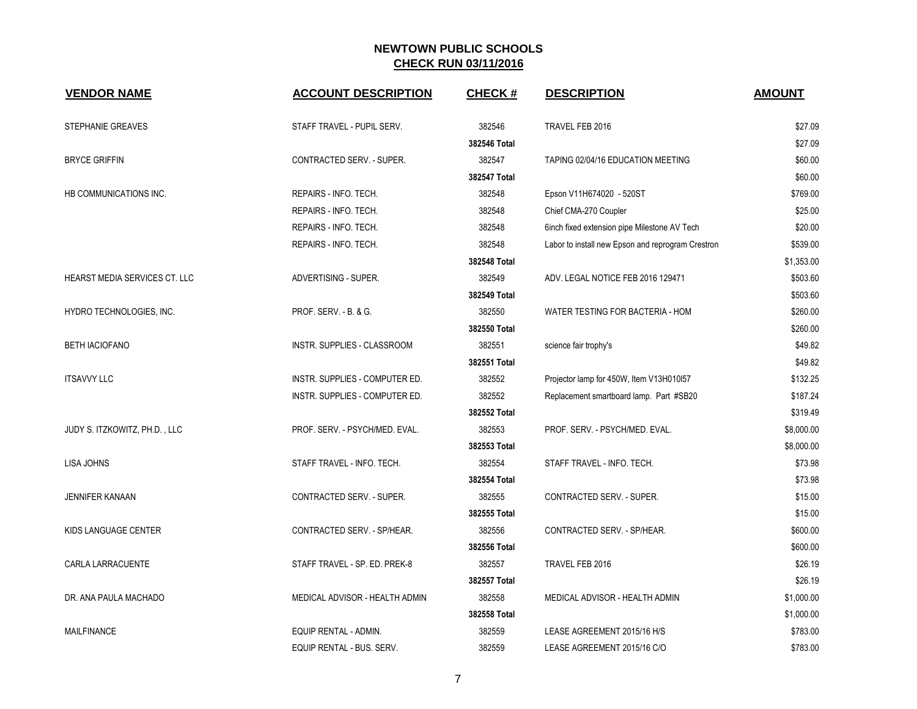| <b>VENDOR NAME</b>            | <b>ACCOUNT DESCRIPTION</b>       | <b>CHECK#</b> | <b>DESCRIPTION</b>                                | <b>AMOUNT</b> |
|-------------------------------|----------------------------------|---------------|---------------------------------------------------|---------------|
| <b>STEPHANIE GREAVES</b>      | STAFF TRAVEL - PUPIL SERV.       | 382546        | TRAVEL FEB 2016                                   | \$27.09       |
|                               |                                  | 382546 Total  |                                                   | \$27.09       |
| <b>BRYCE GRIFFIN</b>          | CONTRACTED SERV. - SUPER.        | 382547        | TAPING 02/04/16 EDUCATION MEETING                 | \$60.00       |
|                               |                                  | 382547 Total  |                                                   | \$60.00       |
| HB COMMUNICATIONS INC.        | REPAIRS - INFO. TECH.            | 382548        | Epson V11H674020 - 520ST                          | \$769.00      |
|                               | REPAIRS - INFO. TECH.            | 382548        | Chief CMA-270 Coupler                             | \$25.00       |
|                               | REPAIRS - INFO. TECH.            | 382548        | 6inch fixed extension pipe Milestone AV Tech      | \$20.00       |
|                               | REPAIRS - INFO. TECH.            | 382548        | Labor to install new Epson and reprogram Crestron | \$539.00      |
|                               |                                  | 382548 Total  |                                                   | \$1,353.00    |
| HEARST MEDIA SERVICES CT. LLC | ADVERTISING - SUPER.             | 382549        | ADV. LEGAL NOTICE FEB 2016 129471                 | \$503.60      |
|                               |                                  | 382549 Total  |                                                   | \$503.60      |
| HYDRO TECHNOLOGIES, INC.      | <b>PROF. SERV. - B. &amp; G.</b> | 382550        | WATER TESTING FOR BACTERIA - HOM                  | \$260.00      |
|                               |                                  | 382550 Total  |                                                   | \$260.00      |
| <b>BETH IACIOFANO</b>         | INSTR. SUPPLIES - CLASSROOM      | 382551        | science fair trophy's                             | \$49.82       |
|                               |                                  | 382551 Total  |                                                   | \$49.82       |
| <b>ITSAVVY LLC</b>            | INSTR. SUPPLIES - COMPUTER ED.   | 382552        | Projector lamp for 450W, Item V13H010I57          | \$132.25      |
|                               | INSTR. SUPPLIES - COMPUTER ED.   | 382552        | Replacement smartboard lamp. Part #SB20           | \$187.24      |
|                               |                                  | 382552 Total  |                                                   | \$319.49      |
| JUDY S. ITZKOWITZ, PH.D., LLC | PROF. SERV. - PSYCH/MED. EVAL.   | 382553        | PROF. SERV. - PSYCH/MED. EVAL.                    | \$8,000.00    |
|                               |                                  | 382553 Total  |                                                   | \$8,000.00    |
| <b>LISA JOHNS</b>             | STAFF TRAVEL - INFO. TECH.       | 382554        | STAFF TRAVEL - INFO. TECH.                        | \$73.98       |
|                               |                                  | 382554 Total  |                                                   | \$73.98       |
| <b>JENNIFER KANAAN</b>        | CONTRACTED SERV. - SUPER.        | 382555        | CONTRACTED SERV. - SUPER.                         | \$15.00       |
|                               |                                  | 382555 Total  |                                                   | \$15.00       |
| KIDS LANGUAGE CENTER          | CONTRACTED SERV. - SP/HEAR.      | 382556        | CONTRACTED SERV. - SP/HEAR.                       | \$600.00      |
|                               |                                  | 382556 Total  |                                                   | \$600.00      |
| CARLA LARRACUENTE             | STAFF TRAVEL - SP. ED. PREK-8    | 382557        | TRAVEL FEB 2016                                   | \$26.19       |
|                               |                                  | 382557 Total  |                                                   | \$26.19       |
| DR. ANA PAULA MACHADO         | MEDICAL ADVISOR - HEALTH ADMIN   | 382558        | MEDICAL ADVISOR - HEALTH ADMIN                    | \$1,000.00    |
|                               |                                  | 382558 Total  |                                                   | \$1,000.00    |
| <b>MAILFINANCE</b>            | EQUIP RENTAL - ADMIN.            | 382559        | LEASE AGREEMENT 2015/16 H/S                       | \$783.00      |
|                               | EQUIP RENTAL - BUS. SERV.        | 382559        | LEASE AGREEMENT 2015/16 C/O                       | \$783.00      |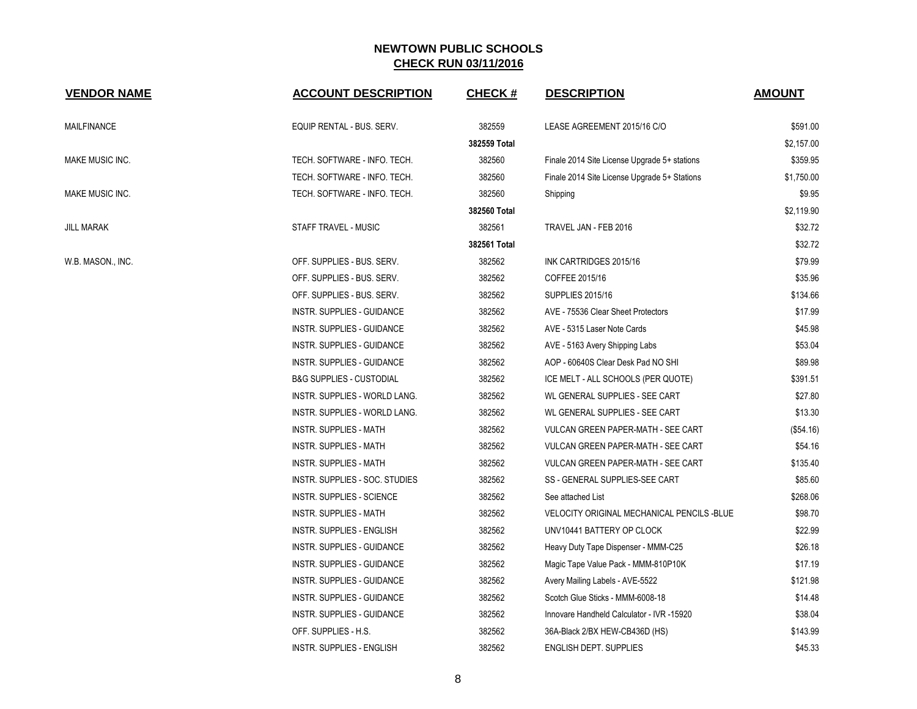| <b>VENDOR NAME</b>     | <b>ACCOUNT DESCRIPTION</b>          | <b>CHECK#</b> | <b>DESCRIPTION</b>                           | <b>AMOUNT</b> |
|------------------------|-------------------------------------|---------------|----------------------------------------------|---------------|
| MAILFINANCE            | EQUIP RENTAL - BUS. SERV.           | 382559        | LEASE AGREEMENT 2015/16 C/O                  | \$591.00      |
|                        |                                     | 382559 Total  |                                              | \$2,157.00    |
| <b>MAKE MUSIC INC.</b> | TECH. SOFTWARE - INFO. TECH.        | 382560        | Finale 2014 Site License Upgrade 5+ stations | \$359.95      |
|                        | TECH. SOFTWARE - INFO. TECH.        | 382560        | Finale 2014 Site License Upgrade 5+ Stations | \$1,750.00    |
| MAKE MUSIC INC.        | TECH. SOFTWARE - INFO. TECH.        | 382560        | Shipping                                     | \$9.95        |
|                        |                                     | 382560 Total  |                                              | \$2,119.90    |
| <b>JILL MARAK</b>      | STAFF TRAVEL - MUSIC                | 382561        | TRAVEL JAN - FEB 2016                        | \$32.72       |
|                        |                                     | 382561 Total  |                                              | \$32.72       |
| W.B. MASON., INC.      | OFF. SUPPLIES - BUS. SERV.          | 382562        | INK CARTRIDGES 2015/16                       | \$79.99       |
|                        | OFF. SUPPLIES - BUS. SERV.          | 382562        | COFFEE 2015/16                               | \$35.96       |
|                        | OFF. SUPPLIES - BUS. SERV.          | 382562        | <b>SUPPLIES 2015/16</b>                      | \$134.66      |
|                        | INSTR. SUPPLIES - GUIDANCE          | 382562        | AVE - 75536 Clear Sheet Protectors           | \$17.99       |
|                        | INSTR. SUPPLIES - GUIDANCE          | 382562        | AVE - 5315 Laser Note Cards                  | \$45.98       |
|                        | INSTR. SUPPLIES - GUIDANCE          | 382562        | AVE - 5163 Avery Shipping Labs               | \$53.04       |
|                        | INSTR. SUPPLIES - GUIDANCE          | 382562        | AOP - 60640S Clear Desk Pad NO SHI           | \$89.98       |
|                        | <b>B&amp;G SUPPLIES - CUSTODIAL</b> | 382562        | ICE MELT - ALL SCHOOLS (PER QUOTE)           | \$391.51      |
|                        | INSTR. SUPPLIES - WORLD LANG.       | 382562        | WL GENERAL SUPPLIES - SEE CART               | \$27.80       |
|                        | INSTR. SUPPLIES - WORLD LANG.       | 382562        | WL GENERAL SUPPLIES - SEE CART               | \$13.30       |
|                        | <b>INSTR. SUPPLIES - MATH</b>       | 382562        | VULCAN GREEN PAPER-MATH - SEE CART           | (\$54.16)     |
|                        | <b>INSTR. SUPPLIES - MATH</b>       | 382562        | VULCAN GREEN PAPER-MATH - SEE CART           | \$54.16       |
|                        | <b>INSTR. SUPPLIES - MATH</b>       | 382562        | VULCAN GREEN PAPER-MATH - SEE CART           | \$135.40      |
|                        | INSTR. SUPPLIES - SOC. STUDIES      | 382562        | SS - GENERAL SUPPLIES-SEE CART               | \$85.60       |
|                        | <b>INSTR. SUPPLIES - SCIENCE</b>    | 382562        | See attached List                            | \$268.06      |
|                        | <b>INSTR. SUPPLIES - MATH</b>       | 382562        | VELOCITY ORIGINAL MECHANICAL PENCILS -BLUE   | \$98.70       |
|                        | <b>INSTR. SUPPLIES - ENGLISH</b>    | 382562        | UNV10441 BATTERY OP CLOCK                    | \$22.99       |
|                        | INSTR. SUPPLIES - GUIDANCE          | 382562        | Heavy Duty Tape Dispenser - MMM-C25          | \$26.18       |
|                        | INSTR. SUPPLIES - GUIDANCE          | 382562        | Magic Tape Value Pack - MMM-810P10K          | \$17.19       |
|                        | INSTR. SUPPLIES - GUIDANCE          | 382562        | Avery Mailing Labels - AVE-5522              | \$121.98      |
|                        | INSTR. SUPPLIES - GUIDANCE          | 382562        | Scotch Glue Sticks - MMM-6008-18             | \$14.48       |
|                        | INSTR. SUPPLIES - GUIDANCE          | 382562        | Innovare Handheld Calculator - IVR -15920    | \$38.04       |
|                        | OFF. SUPPLIES - H.S.                | 382562        | 36A-Black 2/BX HEW-CB436D (HS)               | \$143.99      |
|                        | INSTR. SUPPLIES - ENGLISH           | 382562        | ENGLISH DEPT. SUPPLIES                       | \$45.33       |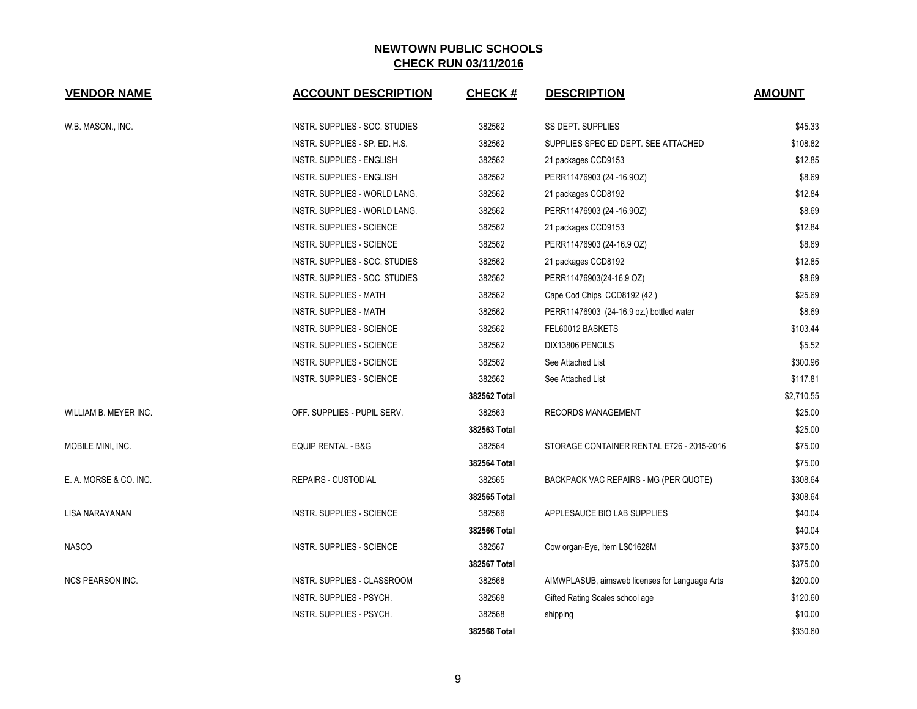| <b>VENDOR NAME</b>      | <b>ACCOUNT DESCRIPTION</b>       | CHECK#       | <b>DESCRIPTION</b>                             | <b>AMOUNT</b> |
|-------------------------|----------------------------------|--------------|------------------------------------------------|---------------|
| W.B. MASON., INC.       | INSTR. SUPPLIES - SOC. STUDIES   | 382562       | <b>SS DEPT. SUPPLIES</b>                       | \$45.33       |
|                         | INSTR. SUPPLIES - SP. ED. H.S.   | 382562       | SUPPLIES SPEC ED DEPT. SEE ATTACHED            | \$108.82      |
|                         | <b>INSTR. SUPPLIES - ENGLISH</b> | 382562       | 21 packages CCD9153                            | \$12.85       |
|                         | INSTR. SUPPLIES - ENGLISH        | 382562       | PERR11476903 (24 -16.9OZ)                      | \$8.69        |
|                         | INSTR. SUPPLIES - WORLD LANG.    | 382562       | 21 packages CCD8192                            | \$12.84       |
|                         | INSTR. SUPPLIES - WORLD LANG.    | 382562       | PERR11476903 (24 -16.9OZ)                      | \$8.69        |
|                         | <b>INSTR. SUPPLIES - SCIENCE</b> | 382562       | 21 packages CCD9153                            | \$12.84       |
|                         | INSTR. SUPPLIES - SCIENCE        | 382562       | PERR11476903 (24-16.9 OZ)                      | \$8.69        |
|                         | INSTR. SUPPLIES - SOC. STUDIES   | 382562       | 21 packages CCD8192                            | \$12.85       |
|                         | INSTR. SUPPLIES - SOC. STUDIES   | 382562       | PERR11476903(24-16.9 OZ)                       | \$8.69        |
|                         | <b>INSTR. SUPPLIES - MATH</b>    | 382562       | Cape Cod Chips CCD8192 (42)                    | \$25.69       |
|                         | INSTR. SUPPLIES - MATH           | 382562       | PERR11476903 (24-16.9 oz.) bottled water       | \$8.69        |
|                         | INSTR. SUPPLIES - SCIENCE        | 382562       | FEL60012 BASKETS                               | \$103.44      |
|                         | INSTR. SUPPLIES - SCIENCE        | 382562       | DIX13806 PENCILS                               | \$5.52        |
|                         | <b>INSTR. SUPPLIES - SCIENCE</b> | 382562       | See Attached List                              | \$300.96      |
|                         | INSTR. SUPPLIES - SCIENCE        | 382562       | See Attached List                              | \$117.81      |
|                         |                                  | 382562 Total |                                                | \$2,710.55    |
| WILLIAM B. MEYER INC.   | OFF. SUPPLIES - PUPIL SERV.      | 382563       | <b>RECORDS MANAGEMENT</b>                      | \$25.00       |
|                         |                                  | 382563 Total |                                                | \$25.00       |
| MOBILE MINI, INC.       | EQUIP RENTAL - B&G               | 382564       | STORAGE CONTAINER RENTAL E726 - 2015-2016      | \$75.00       |
|                         |                                  | 382564 Total |                                                | \$75.00       |
| E. A. MORSE & CO. INC.  | <b>REPAIRS - CUSTODIAL</b>       | 382565       | BACKPACK VAC REPAIRS - MG (PER QUOTE)          | \$308.64      |
|                         |                                  | 382565 Total |                                                | \$308.64      |
| LISA NARAYANAN          | INSTR. SUPPLIES - SCIENCE        | 382566       | APPLESAUCE BIO LAB SUPPLIES                    | \$40.04       |
|                         |                                  | 382566 Total |                                                | \$40.04       |
| <b>NASCO</b>            | <b>INSTR. SUPPLIES - SCIENCE</b> | 382567       | Cow organ-Eye, Item LS01628M                   | \$375.00      |
|                         |                                  | 382567 Total |                                                | \$375.00      |
| <b>NCS PEARSON INC.</b> | INSTR. SUPPLIES - CLASSROOM      | 382568       | AIMWPLASUB, aimsweb licenses for Language Arts | \$200.00      |
|                         | INSTR. SUPPLIES - PSYCH.         | 382568       | Gifted Rating Scales school age                | \$120.60      |
|                         | INSTR. SUPPLIES - PSYCH.         | 382568       | shipping                                       | \$10.00       |
|                         |                                  | 382568 Total |                                                | \$330.60      |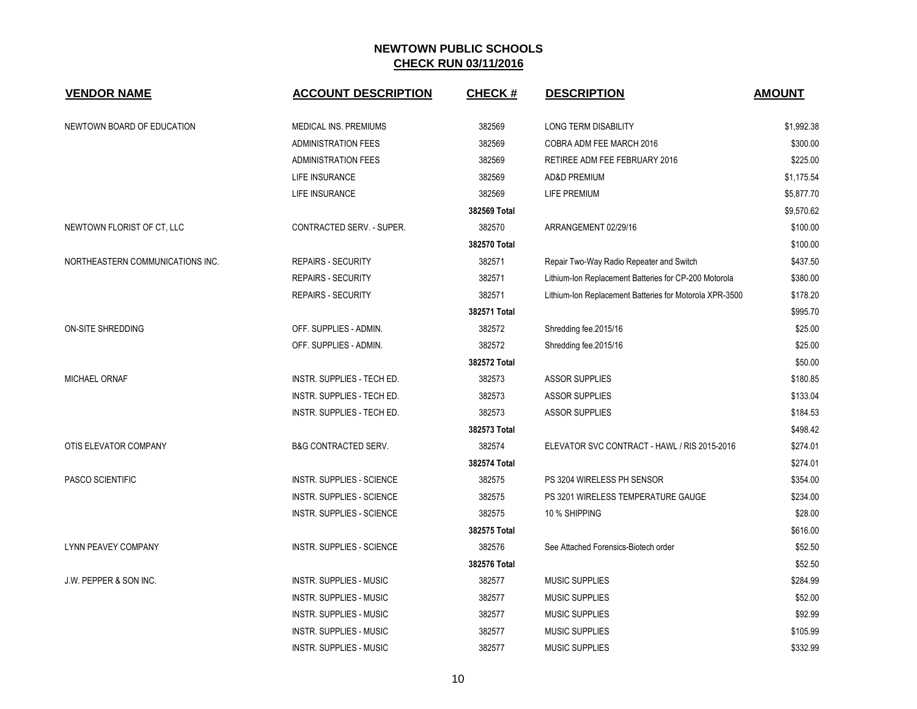| <b>VENDOR NAME</b>               | <b>ACCOUNT DESCRIPTION</b>        | <b>CHECK#</b> | <b>DESCRIPTION</b>                                      | <b>AMOUNT</b> |
|----------------------------------|-----------------------------------|---------------|---------------------------------------------------------|---------------|
| NEWTOWN BOARD OF EDUCATION       | MEDICAL INS. PREMIUMS             | 382569        | <b>LONG TERM DISABILITY</b>                             | \$1,992.38    |
|                                  | <b>ADMINISTRATION FEES</b>        | 382569        | COBRA ADM FEE MARCH 2016                                | \$300.00      |
|                                  | <b>ADMINISTRATION FEES</b>        | 382569        | RETIREE ADM FEE FEBRUARY 2016                           | \$225.00      |
|                                  | LIFE INSURANCE                    | 382569        | <b>AD&amp;D PREMIUM</b>                                 | \$1,175.54    |
|                                  | LIFE INSURANCE                    | 382569        | LIFE PREMIUM                                            | \$5,877.70    |
|                                  |                                   | 382569 Total  |                                                         | \$9,570.62    |
| NEWTOWN FLORIST OF CT, LLC       | CONTRACTED SERV. - SUPER.         | 382570        | ARRANGEMENT 02/29/16                                    | \$100.00      |
|                                  |                                   | 382570 Total  |                                                         | \$100.00      |
| NORTHEASTERN COMMUNICATIONS INC. | <b>REPAIRS - SECURITY</b>         | 382571        | Repair Two-Way Radio Repeater and Switch                | \$437.50      |
|                                  | <b>REPAIRS - SECURITY</b>         | 382571        | Lithium-Ion Replacement Batteries for CP-200 Motorola   | \$380.00      |
|                                  | <b>REPAIRS - SECURITY</b>         | 382571        | Lithium-Ion Replacement Batteries for Motorola XPR-3500 | \$178.20      |
|                                  |                                   | 382571 Total  |                                                         | \$995.70      |
| <b>ON-SITE SHREDDING</b>         | OFF. SUPPLIES - ADMIN.            | 382572        | Shredding fee.2015/16                                   | \$25.00       |
|                                  | OFF. SUPPLIES - ADMIN.            | 382572        | Shredding fee.2015/16                                   | \$25.00       |
|                                  |                                   | 382572 Total  |                                                         | \$50.00       |
| <b>MICHAEL ORNAF</b>             | <b>INSTR. SUPPLIES - TECH ED.</b> | 382573        | <b>ASSOR SUPPLIES</b>                                   | \$180.85      |
|                                  | INSTR. SUPPLIES - TECH ED.        | 382573        | <b>ASSOR SUPPLIES</b>                                   | \$133.04      |
|                                  | INSTR. SUPPLIES - TECH ED.        | 382573        | <b>ASSOR SUPPLIES</b>                                   | \$184.53      |
|                                  |                                   | 382573 Total  |                                                         | \$498.42      |
| OTIS ELEVATOR COMPANY            | <b>B&amp;G CONTRACTED SERV.</b>   | 382574        | ELEVATOR SVC CONTRACT - HAWL / RIS 2015-2016            | \$274.01      |
|                                  |                                   | 382574 Total  |                                                         | \$274.01      |
| PASCO SCIENTIFIC                 | <b>INSTR. SUPPLIES - SCIENCE</b>  | 382575        | PS 3204 WIRELESS PH SENSOR                              | \$354.00      |
|                                  | INSTR. SUPPLIES - SCIENCE         | 382575        | PS 3201 WIRELESS TEMPERATURE GAUGE                      | \$234.00      |
|                                  | INSTR. SUPPLIES - SCIENCE         | 382575        | 10 % SHIPPING                                           | \$28.00       |
|                                  |                                   | 382575 Total  |                                                         | \$616.00      |
| <b>LYNN PEAVEY COMPANY</b>       | <b>INSTR. SUPPLIES - SCIENCE</b>  | 382576        | See Attached Forensics-Biotech order                    | \$52.50       |
|                                  |                                   | 382576 Total  |                                                         | \$52.50       |
| J.W. PEPPER & SON INC.           | <b>INSTR. SUPPLIES - MUSIC</b>    | 382577        | <b>MUSIC SUPPLIES</b>                                   | \$284.99      |
|                                  | <b>INSTR. SUPPLIES - MUSIC</b>    | 382577        | <b>MUSIC SUPPLIES</b>                                   | \$52.00       |
|                                  | <b>INSTR. SUPPLIES - MUSIC</b>    | 382577        | <b>MUSIC SUPPLIES</b>                                   | \$92.99       |
|                                  | <b>INSTR. SUPPLIES - MUSIC</b>    | 382577        | <b>MUSIC SUPPLIES</b>                                   | \$105.99      |
|                                  | <b>INSTR. SUPPLIES - MUSIC</b>    | 382577        | <b>MUSIC SUPPLIES</b>                                   | \$332.99      |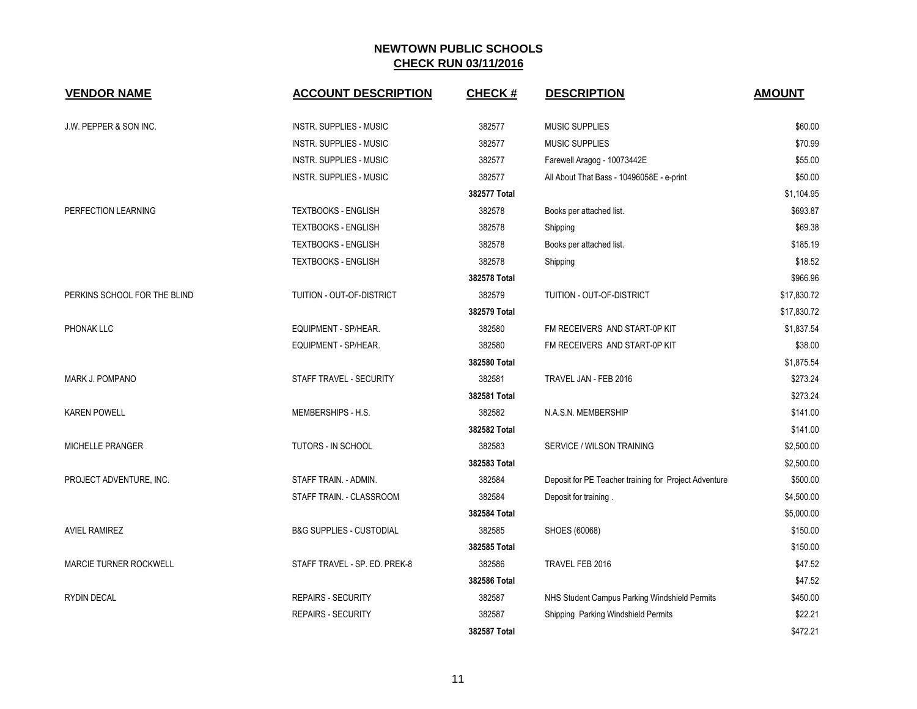| <b>VENDOR NAME</b>            | <b>ACCOUNT DESCRIPTION</b>          | <b>CHECK#</b> | <b>DESCRIPTION</b>                                    | <b>AMOUNT</b> |
|-------------------------------|-------------------------------------|---------------|-------------------------------------------------------|---------------|
| J.W. PEPPER & SON INC.        | <b>INSTR. SUPPLIES - MUSIC</b>      | 382577        | <b>MUSIC SUPPLIES</b>                                 | \$60.00       |
|                               | INSTR. SUPPLIES - MUSIC             | 382577        | <b>MUSIC SUPPLIES</b>                                 | \$70.99       |
|                               | INSTR. SUPPLIES - MUSIC             | 382577        | Farewell Aragog - 10073442E                           | \$55.00       |
|                               | <b>INSTR. SUPPLIES - MUSIC</b>      | 382577        | All About That Bass - 10496058E - e-print             | \$50.00       |
|                               |                                     | 382577 Total  |                                                       | \$1,104.95    |
| PERFECTION LEARNING           | <b>TEXTBOOKS - ENGLISH</b>          | 382578        | Books per attached list.                              | \$693.87      |
|                               | <b>TEXTBOOKS - ENGLISH</b>          | 382578        | Shipping                                              | \$69.38       |
|                               | <b>TEXTBOOKS - ENGLISH</b>          | 382578        | Books per attached list.                              | \$185.19      |
|                               | <b>TEXTBOOKS - ENGLISH</b>          | 382578        | Shipping                                              | \$18.52       |
|                               |                                     | 382578 Total  |                                                       | \$966.96      |
| PERKINS SCHOOL FOR THE BLIND  | TUITION - OUT-OF-DISTRICT           | 382579        | TUITION - OUT-OF-DISTRICT                             | \$17,830.72   |
|                               |                                     | 382579 Total  |                                                       | \$17,830.72   |
| PHONAK LLC                    | EQUIPMENT - SP/HEAR.                | 382580        | FM RECEIVERS AND START-0P KIT                         | \$1,837.54    |
|                               | EQUIPMENT - SP/HEAR.                | 382580        | FM RECEIVERS AND START-0P KIT                         | \$38.00       |
|                               |                                     | 382580 Total  |                                                       | \$1.875.54    |
| MARK J. POMPANO               | STAFF TRAVEL - SECURITY             | 382581        | TRAVEL JAN - FEB 2016                                 | \$273.24      |
|                               |                                     | 382581 Total  |                                                       | \$273.24      |
| <b>KAREN POWELL</b>           | MEMBERSHIPS - H.S.                  | 382582        | N.A.S.N. MEMBERSHIP                                   | \$141.00      |
|                               |                                     | 382582 Total  |                                                       | \$141.00      |
| <b>MICHELLE PRANGER</b>       | TUTORS - IN SCHOOL                  | 382583        | SERVICE / WILSON TRAINING                             | \$2,500.00    |
|                               |                                     | 382583 Total  |                                                       | \$2,500.00    |
| PROJECT ADVENTURE, INC.       | STAFF TRAIN. - ADMIN.               | 382584        | Deposit for PE Teacher training for Project Adventure | \$500.00      |
|                               | STAFF TRAIN. - CLASSROOM            | 382584        | Deposit for training.                                 | \$4,500.00    |
|                               |                                     | 382584 Total  |                                                       | \$5,000.00    |
| <b>AVIEL RAMIREZ</b>          | <b>B&amp;G SUPPLIES - CUSTODIAL</b> | 382585        | SHOES (60068)                                         | \$150.00      |
|                               |                                     | 382585 Total  |                                                       | \$150.00      |
| <b>MARCIE TURNER ROCKWELL</b> | STAFF TRAVEL - SP. ED. PREK-8       | 382586        | TRAVEL FEB 2016                                       | \$47.52       |
|                               |                                     | 382586 Total  |                                                       | \$47.52       |
| <b>RYDIN DECAL</b>            | <b>REPAIRS - SECURITY</b>           | 382587        | NHS Student Campus Parking Windshield Permits         | \$450.00      |
|                               | <b>REPAIRS - SECURITY</b>           | 382587        | Shipping Parking Windshield Permits                   | \$22.21       |
|                               |                                     | 382587 Total  |                                                       | \$472.21      |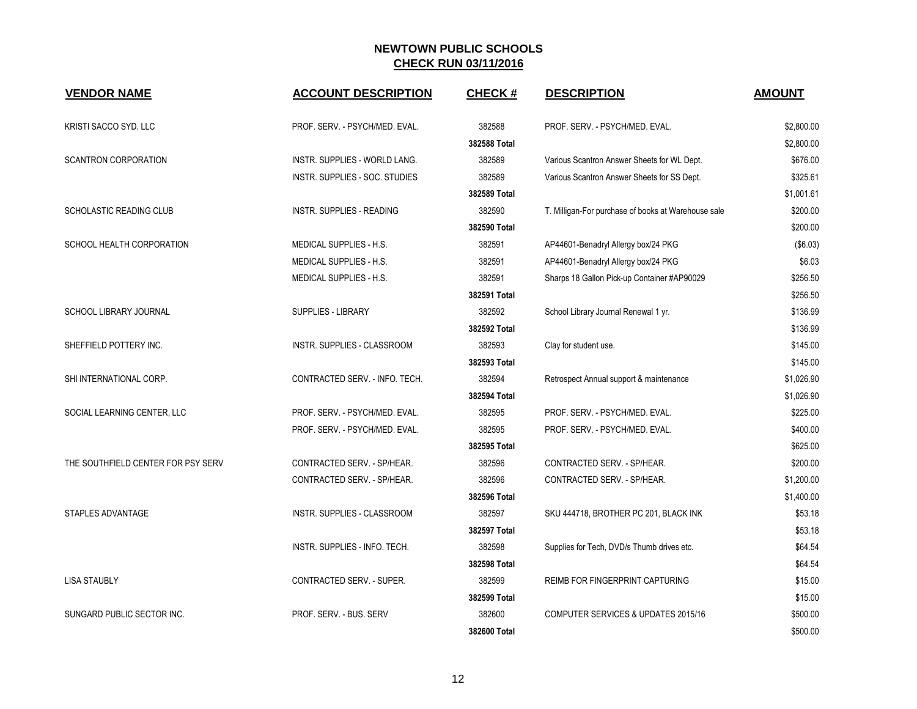| <b>VENDOR NAME</b>                 | <b>ACCOUNT DESCRIPTION</b>     | <b>CHECK#</b> | <b>DESCRIPTION</b>                                  | <b>AMOUNT</b> |
|------------------------------------|--------------------------------|---------------|-----------------------------------------------------|---------------|
| KRISTI SACCO SYD. LLC              | PROF. SERV. - PSYCH/MED. EVAL. | 382588        | PROF. SERV. - PSYCH/MED. EVAL.                      | \$2,800.00    |
|                                    |                                | 382588 Total  |                                                     | \$2,800.00    |
| <b>SCANTRON CORPORATION</b>        | INSTR. SUPPLIES - WORLD LANG.  | 382589        | Various Scantron Answer Sheets for WL Dept.         | \$676.00      |
|                                    | INSTR. SUPPLIES - SOC. STUDIES | 382589        | Various Scantron Answer Sheets for SS Dept.         | \$325.61      |
|                                    |                                | 382589 Total  |                                                     | \$1,001.61    |
| <b>SCHOLASTIC READING CLUB</b>     | INSTR. SUPPLIES - READING      | 382590        | T. Milligan-For purchase of books at Warehouse sale | \$200.00      |
|                                    |                                | 382590 Total  |                                                     | \$200.00      |
| SCHOOL HEALTH CORPORATION          | MEDICAL SUPPLIES - H.S.        | 382591        | AP44601-Benadryl Allergy box/24 PKG                 | (\$6.03)      |
|                                    | MEDICAL SUPPLIES - H.S.        | 382591        | AP44601-Benadryl Allergy box/24 PKG                 | \$6.03        |
|                                    | MEDICAL SUPPLIES - H.S.        | 382591        | Sharps 18 Gallon Pick-up Container #AP90029         | \$256.50      |
|                                    |                                | 382591 Total  |                                                     | \$256.50      |
| SCHOOL LIBRARY JOURNAL             | SUPPLIES - LIBRARY             | 382592        | School Library Journal Renewal 1 yr.                | \$136.99      |
|                                    |                                | 382592 Total  |                                                     | \$136.99      |
| SHEFFIELD POTTERY INC.             | INSTR. SUPPLIES - CLASSROOM    | 382593        | Clay for student use.                               | \$145.00      |
|                                    |                                | 382593 Total  |                                                     | \$145.00      |
| SHI INTERNATIONAL CORP.            | CONTRACTED SERV. - INFO. TECH. | 382594        | Retrospect Annual support & maintenance             | \$1,026.90    |
|                                    |                                | 382594 Total  |                                                     | \$1,026.90    |
| SOCIAL LEARNING CENTER, LLC        | PROF. SERV. - PSYCH/MED. EVAL. | 382595        | PROF. SERV. - PSYCH/MED. EVAL.                      | \$225.00      |
|                                    | PROF. SERV. - PSYCH/MED. EVAL. | 382595        | PROF. SERV. - PSYCH/MED. EVAL.                      | \$400.00      |
|                                    |                                | 382595 Total  |                                                     | \$625.00      |
| THE SOUTHFIELD CENTER FOR PSY SERV | CONTRACTED SERV. - SP/HEAR.    | 382596        | CONTRACTED SERV. - SP/HEAR.                         | \$200.00      |
|                                    | CONTRACTED SERV. - SP/HEAR.    | 382596        | CONTRACTED SERV. - SP/HEAR.                         | \$1,200.00    |
|                                    |                                | 382596 Total  |                                                     | \$1,400.00    |
| STAPLES ADVANTAGE                  | INSTR. SUPPLIES - CLASSROOM    | 382597        | SKU 444718, BROTHER PC 201, BLACK INK               | \$53.18       |
|                                    |                                | 382597 Total  |                                                     | \$53.18       |
|                                    | INSTR. SUPPLIES - INFO. TECH.  | 382598        | Supplies for Tech, DVD/s Thumb drives etc.          | \$64.54       |
|                                    |                                | 382598 Total  |                                                     | \$64.54       |
| <b>LISA STAUBLY</b>                | CONTRACTED SERV. - SUPER.      | 382599        | REIMB FOR FINGERPRINT CAPTURING                     | \$15.00       |
|                                    |                                | 382599 Total  |                                                     | \$15.00       |
| SUNGARD PUBLIC SECTOR INC.         | PROF. SERV. - BUS. SERV        | 382600        | <b>COMPUTER SERVICES &amp; UPDATES 2015/16</b>      | \$500.00      |
|                                    |                                | 382600 Total  |                                                     | \$500.00      |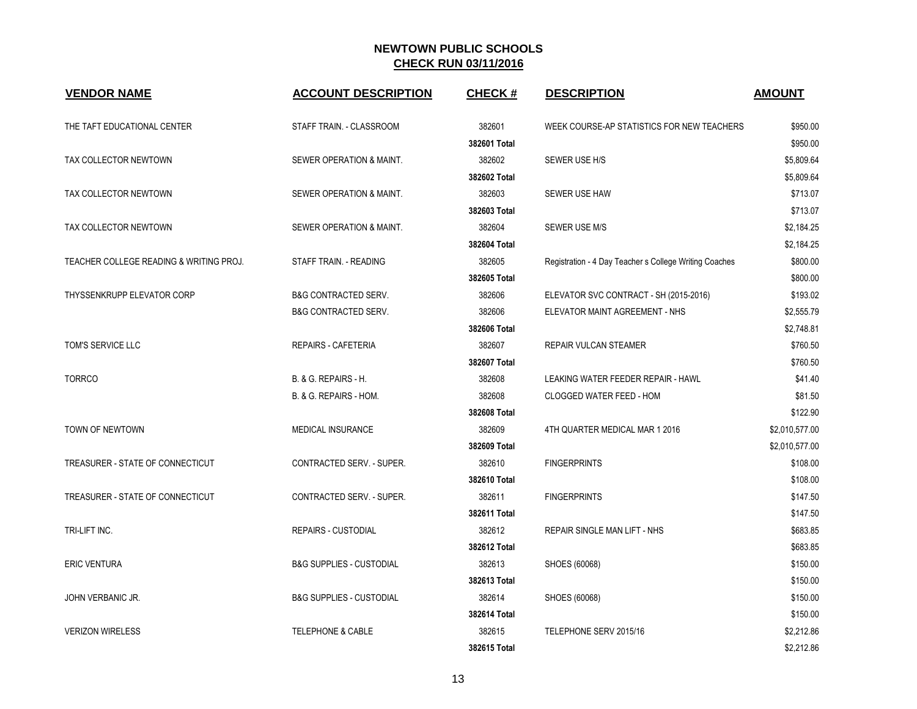| <b>VENDOR NAME</b>                      | <b>ACCOUNT DESCRIPTION</b>          | <b>CHECK#</b> | <b>DESCRIPTION</b>                                     | <b>AMOUNT</b>  |
|-----------------------------------------|-------------------------------------|---------------|--------------------------------------------------------|----------------|
| THE TAFT EDUCATIONAL CENTER             | STAFF TRAIN. - CLASSROOM            | 382601        | WEEK COURSE-AP STATISTICS FOR NEW TEACHERS             | \$950.00       |
|                                         |                                     | 382601 Total  |                                                        | \$950.00       |
| TAX COLLECTOR NEWTOWN                   | SEWER OPERATION & MAINT.            | 382602        | SEWER USE H/S                                          | \$5,809.64     |
|                                         |                                     | 382602 Total  |                                                        | \$5,809.64     |
| TAX COLLECTOR NEWTOWN                   | SEWER OPERATION & MAINT.            | 382603        | SEWER USE HAW                                          | \$713.07       |
|                                         |                                     | 382603 Total  |                                                        | \$713.07       |
| TAX COLLECTOR NEWTOWN                   | SEWER OPERATION & MAINT.            | 382604        | <b>SEWER USE M/S</b>                                   | \$2,184.25     |
|                                         |                                     | 382604 Total  |                                                        | \$2,184.25     |
| TEACHER COLLEGE READING & WRITING PROJ. | STAFF TRAIN. - READING              | 382605        | Registration - 4 Day Teacher s College Writing Coaches | \$800.00       |
|                                         |                                     | 382605 Total  |                                                        | \$800.00       |
| THYSSENKRUPP ELEVATOR CORP              | <b>B&amp;G CONTRACTED SERV.</b>     | 382606        | ELEVATOR SVC CONTRACT - SH (2015-2016)                 | \$193.02       |
|                                         | <b>B&amp;G CONTRACTED SERV.</b>     | 382606        | ELEVATOR MAINT AGREEMENT - NHS                         | \$2,555.79     |
|                                         |                                     | 382606 Total  |                                                        | \$2,748.81     |
| TOM'S SERVICE LLC                       | REPAIRS - CAFETERIA                 | 382607        | REPAIR VULCAN STEAMER                                  | \$760.50       |
|                                         |                                     | 382607 Total  |                                                        | \$760.50       |
| <b>TORRCO</b>                           | B. & G. REPAIRS - H.                | 382608        | LEAKING WATER FEEDER REPAIR - HAWL                     | \$41.40        |
|                                         | B. & G. REPAIRS - HOM.              | 382608        | CLOGGED WATER FEED - HOM                               | \$81.50        |
|                                         |                                     | 382608 Total  |                                                        | \$122.90       |
| TOWN OF NEWTOWN                         | MEDICAL INSURANCE                   | 382609        | 4TH QUARTER MEDICAL MAR 1 2016                         | \$2,010,577.00 |
|                                         |                                     | 382609 Total  |                                                        | \$2,010,577.00 |
| TREASURER - STATE OF CONNECTICUT        | <b>CONTRACTED SERV. - SUPER.</b>    | 382610        | <b>FINGERPRINTS</b>                                    | \$108.00       |
|                                         |                                     | 382610 Total  |                                                        | \$108.00       |
| TREASURER - STATE OF CONNECTICUT        | CONTRACTED SERV. - SUPER.           | 382611        | <b>FINGERPRINTS</b>                                    | \$147.50       |
|                                         |                                     | 382611 Total  |                                                        | \$147.50       |
| TRI-LIFT INC.                           | <b>REPAIRS - CUSTODIAL</b>          | 382612        | REPAIR SINGLE MAN LIFT - NHS                           | \$683.85       |
|                                         |                                     | 382612 Total  |                                                        | \$683.85       |
| <b>ERIC VENTURA</b>                     | <b>B&amp;G SUPPLIES - CUSTODIAL</b> | 382613        | SHOES (60068)                                          | \$150.00       |
|                                         |                                     | 382613 Total  |                                                        | \$150.00       |
| JOHN VERBANIC JR.                       | <b>B&amp;G SUPPLIES - CUSTODIAL</b> | 382614        | SHOES (60068)                                          | \$150.00       |
|                                         |                                     | 382614 Total  |                                                        | \$150.00       |
| <b>VERIZON WIRELESS</b>                 | <b>TELEPHONE &amp; CABLE</b>        | 382615        | TELEPHONE SERV 2015/16                                 | \$2,212.86     |
|                                         |                                     | 382615 Total  |                                                        | \$2,212.86     |